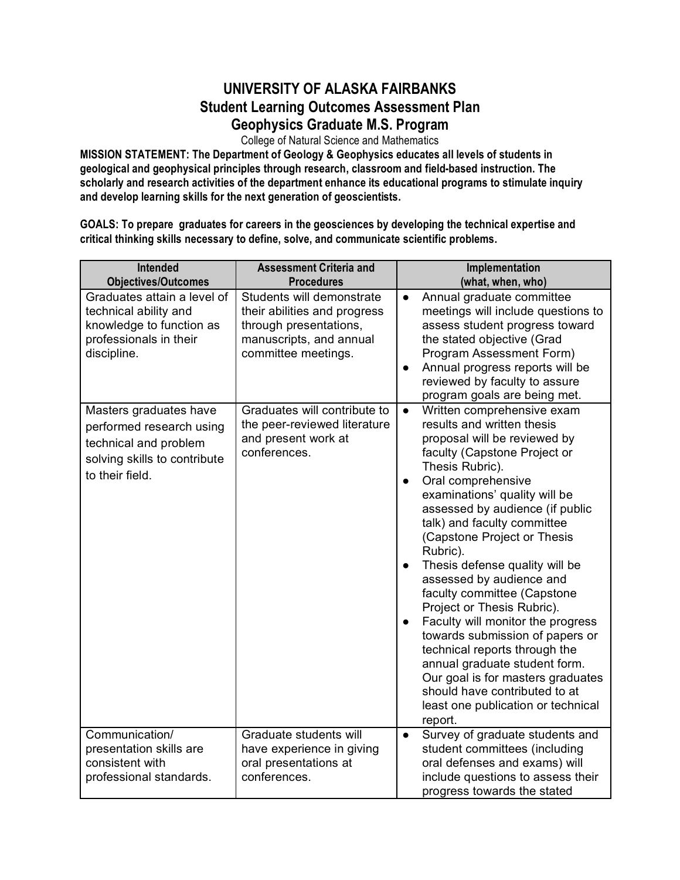## **UNIVERSITY OF ALASKA FAIRBANKS Student Learning Outcomes Assessment Plan Geophysics Graduate M.S. Program**

College of Natural Science and Mathematics

**MISSION STATEMENT: The Department of Geology & Geophysics educates all levels of students in geological and geophysical principles through research, classroom and field-based instruction. The scholarly and research activities of the department enhance its educational programs to stimulate inquiry and develop learning skills for the next generation of geoscientists.**

**GOALS: To prepare graduates for careers in the geosciences by developing the technical expertise and critical thinking skills necessary to define, solve, and communicate scientific problems.**

| Intended<br><b>Objectives/Outcomes</b>                                                                                         | <b>Assessment Criteria and</b><br><b>Procedures</b>                                                                                   | Implementation<br>(what, when, who)                                                                                                                                                                                                                                                                                                                                                                                                                                                                                                                                                                                                                                                                                                                             |
|--------------------------------------------------------------------------------------------------------------------------------|---------------------------------------------------------------------------------------------------------------------------------------|-----------------------------------------------------------------------------------------------------------------------------------------------------------------------------------------------------------------------------------------------------------------------------------------------------------------------------------------------------------------------------------------------------------------------------------------------------------------------------------------------------------------------------------------------------------------------------------------------------------------------------------------------------------------------------------------------------------------------------------------------------------------|
| Graduates attain a level of<br>technical ability and<br>knowledge to function as<br>professionals in their<br>discipline.      | Students will demonstrate<br>their abilities and progress<br>through presentations,<br>manuscripts, and annual<br>committee meetings. | Annual graduate committee<br>$\bullet$<br>meetings will include questions to<br>assess student progress toward<br>the stated objective (Grad<br>Program Assessment Form)<br>Annual progress reports will be<br>reviewed by faculty to assure<br>program goals are being met.                                                                                                                                                                                                                                                                                                                                                                                                                                                                                    |
| Masters graduates have<br>performed research using<br>technical and problem<br>solving skills to contribute<br>to their field. | Graduates will contribute to<br>the peer-reviewed literature<br>and present work at<br>conferences.                                   | Written comprehensive exam<br>$\bullet$<br>results and written thesis<br>proposal will be reviewed by<br>faculty (Capstone Project or<br>Thesis Rubric).<br>Oral comprehensive<br>$\bullet$<br>examinations' quality will be<br>assessed by audience (if public<br>talk) and faculty committee<br>(Capstone Project or Thesis<br>Rubric).<br>Thesis defense quality will be<br>$\bullet$<br>assessed by audience and<br>faculty committee (Capstone<br>Project or Thesis Rubric).<br>Faculty will monitor the progress<br>$\bullet$<br>towards submission of papers or<br>technical reports through the<br>annual graduate student form.<br>Our goal is for masters graduates<br>should have contributed to at<br>least one publication or technical<br>report. |
| Communication/<br>presentation skills are<br>consistent with<br>professional standards.                                        | Graduate students will<br>have experience in giving<br>oral presentations at<br>conferences.                                          | Survey of graduate students and<br>$\bullet$<br>student committees (including<br>oral defenses and exams) will<br>include questions to assess their<br>progress towards the stated                                                                                                                                                                                                                                                                                                                                                                                                                                                                                                                                                                              |